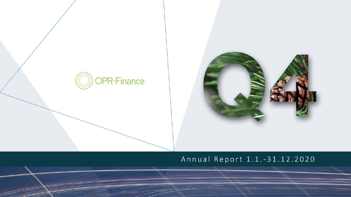



# Annual Report 1.1.-31.12.2020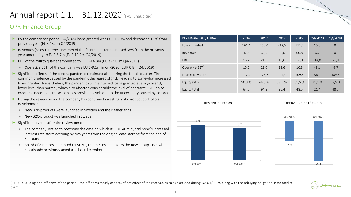# Annual report  $1.1. - 31.12.2020$  [FAS, unaudited]

## OPR-Finance Group

- By the comparison period, Q4/2020 loans granted was EUR 15.0m and decreased 18 % from previous year (EUR 18.2m Q4/2019)
- Revenues (sales + interest income) of the fourth quarter decreased 38% from the previous year amounting to EUR 6.7m (EUR 10.2m Q4/2019)
- EBT of the fourth quarter amounted to EUR -14.8m (EUR -20.1m Q4/2019)
	- $\triangleright$  Operative EBT<sup>1</sup> of the company was EUR -9.1m in Q4/2020 (EUR 0.8m Q4/2019)
- Significant effects of the corona pandemic continued also during the fourth quarter. The common prudence caused by the pandemic decreased slightly, leading to somewhat increased loans granted. Nevertheless, the pandemic still maintained loans granted at a significantly lower level than normal, which also affected considerably the level of operative EBT. It also created a need to increase loan loss provision levels due to the uncertainty caused by corona
- During the review period the company has continued investing in its product portfolio's development
	- New B2B-products were launched in Sweden and the Netherlands
	- ▶ New B2C-product was launched in Sweden
- Significant events after the review period
	- The company settled to postpone the date on which its EUR 40m hybrid bond's increased interest rate starts accruing by two years from the original date starting from the end of February
	- Board of directors appointed OTM, VT, Dipl.Btr. Esa Alanko as the new Group CEO, who has already previously acted as a board member

| <b>KEY FINANCIALS, EURm</b> | 2016   | 2017  | 2018   | 2019    | Q4/2020 | Q4/2019 |
|-----------------------------|--------|-------|--------|---------|---------|---------|
| Loans granted               | 161,4  | 205,0 | 218,5  | 111,2   | 15,0    | 18,2    |
| Revenues                    | 47,8   | 69,7  | 84,0   | 60,8    | 6,7     | 10,3    |
| EBT                         | 15,2   | 21,0  | 19,6   | $-30,1$ | $-14,8$ | $-20,1$ |
| Operative EBT <sup>1</sup>  | 15,2   | 21,0  | 19,6   | 10,3    | $-9,1$  | $-8,7$  |
| Loan receivables            | 117,9  | 178,2 | 221,4  | 109,5   | 86,0    | 109,5   |
| Equity ratio                | 50,8 % | 44,8% | 39,5 % | 35,5 %  | 21,1%   | 35,5 %  |
| Equity total                | 64,5   | 94,9  | 95,4   | 48,5    | 21,4    | 48,5    |



### REVENUES EURm **COPERATIVE EBT<sup>1</sup> EURm**





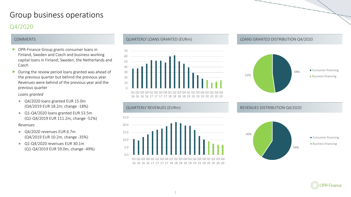# Group business operations Q4/2020

- ▶ OPR-Finance Group grants consumer loans in Finland, Sweden and Czech and business working capital loans in Finland, Sweden, the Netherlands and Czech
- $\blacktriangleright$  During the review period loans granted was ahead of the previous quarter but behind the previous year. Revenues were behind of the previous year and the previous quarter

### *Loans granted*

- ▶ Q4/2020 loans granted EUR 15.0m (Q4/2019 EUR 18.2m, change -18%)
- ▶ Q1-Q4/2020 loans granted EUR 53.5m (Q1-Q4/2019 EUR 111.2m, change -52%)

### *Revenues*

- ▶ Q4/2020 revenues EUR 6.7m (Q4/2019 EUR 10.2m, change -35%)
- ▶ Q1-Q4/2020 revenues EUR 30.1m (Q1-Q4/2019 EUR 59.0m, change -49%)



16 16 16 16 17 17 17 17 18 18 18 18 19 19 19 19 20 20 20 20



### COMMENTS QUARTERLY LOANS GRANTED (EURm) LOANS GRANTED DISTRIBUTION Q4/2020





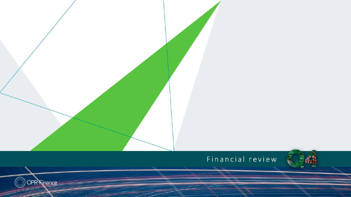# Financial review

OPR-Rinance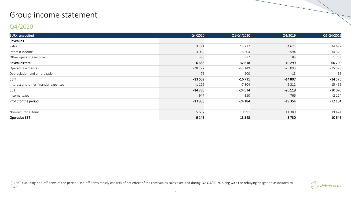# Group income statement

## Q4/2020

| EURk, unaudited                       | Q4/2020  | Q1-Q4/2020 | Q4/2019  | Q1-Q4/2019 |
|---------------------------------------|----------|------------|----------|------------|
| Revenues                              |          |            |          |            |
| Sales                                 | 3 2 2 1  | 13 2 2 7   | 4622     | 24 692     |
| Interest income                       | 3 0 6 9  | 16 504     | 5 5 9 4  | 34 3 29    |
| Other operating income                | 398      | 2887       | 83       | 1769       |
| Revenues total                        | 6688     | 32 618     | 10 2 9 9 | 60790      |
| Operating expenses                    | $-20272$ | $-49149$   | $-25093$ | -75 329    |
| Depreciation and amortization         | $-76$    | $-200$     | $-13$    | $-36$      |
| <b>EBIT</b>                           | $-13659$ | $-16731$   | $-14807$ | $-14575$   |
| Interest and other financial expenses | $-1126$  | $-7804$    | $-5312$  | $-15495$   |
| <b>EBT</b>                            | $-14785$ | $-24534$   | $-20119$ | $-30070$   |
| Income taxes                          | 947      | 350        | 766      | $-2114$    |
| Profit for the period                 | $-13838$ | $-24184$   | $-19354$ | $-32184$   |
|                                       |          |            |          |            |
| Non-recurring items                   | 5 6 3 7  | 10 991     | 11 3 8 9 | 19 4 24    |
| <b>Operative EBT</b>                  | $-9148$  | $-13543$   | $-8730$  | $-10646$   |

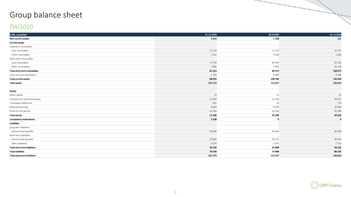# Group balance sheet

# Q4/2020

| EURk, unaudited                | 31.12.2020 | 30.9.2020   | 31.12.2019  |
|--------------------------------|------------|-------------|-------------|
| Non-current assets             | 2423       | 1508        | 121         |
| <b>Current assets</b>          |            |             |             |
| Long term receivables          |            |             |             |
| Loan receivables               | 12 2 14    | 11 147      | 16 7 31     |
| Other receivables              | 2 6 1 0    | 2 600       | 2 6 0 3     |
| Short term receivables         |            |             |             |
| Loan receivables               | 73 744     | 82 497      | 92 782      |
| Other receivables              | 7680       | 7856        | 16 193      |
| Total short term receivables   | 81423      | 90353       | 108975      |
| Cash and cash equivalents      | 2 7 0 3    | 4 6 8 9     | 8 1 8 6     |
| Total current assets           | 98 950     | 108789      | 136494      |
| <b>Total assets</b>            | 101373     | 110 297     | 136616      |
|                                |            |             |             |
| Equity                         |            |             |             |
| Share capital                  | 15         | 15          | 15          |
| Invested non-restricted equity | 37 204     | 37 204      | 38 371      |
| Translation difference         | $-267$     | 20          | 179         |
| Retained earnings              | 8629       | 8 5 0 6     | 42 069      |
| Profit for the period          | $-24184$   | $-10346$    | $-32184$    |
| <b>Total equity</b>            | 21396      | 35399       | 48 450      |
| Compulsory reservations        | 3538       | $\mathbf 0$ | $\mathbf 0$ |
| <b>Liabilities</b>             |            |             |             |
| Long term liabilities          |            |             |             |
| Interest bearing debt          | 40 000     | 40 000      | 40 000      |
| Short term liabilities         |            |             |             |
| Interest bearing debt          | 29 9 65    | 29 5 5 1    | 40 4 34     |
| Other liabilities              | 6474       | 5 3 4 7     | 7731        |
| Total short term liabilities   | 36439      | 34 898      | 48 165      |
| <b>Total liabilities</b>       | 76439      | 74898       | 88 165      |
| Total equity and liabilities   | 101373     | 110 297     | 136 616     |
|                                |            |             |             |

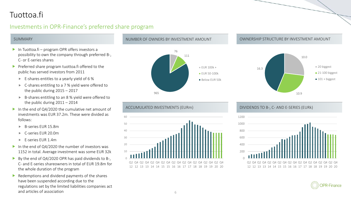# Tuottoa.fi

## Investments in OPR-Finance's preferred share program

- In Tuottoa.fi program OPR offers investors a possibility to own the company through preferred B-, C- or E-series shares
- **Preferred share program tuottoa.fi offered to the** public has served investors from 2011
	- $\blacktriangleright$  E-shares entitles to a yearly yield of 6 %
	- ► C-shares entitling to a 7 % yield were offered to the public during 2015 – 2017
	- B-shares entitling to an 8 % yield were offered to the public during 2011 – 2014
- In the end of Q4/2020 the cumulative net amount of investments was EUR 37.2m. These were divided as follows:
	- B-series EUR 15.8m
	- ► C-series EUR 20.0m
	- ► F-series FUR 1.4m
- In the end of Q4/2020 the number of investors was 1152 in total. Average investment was some EUR 32k
- By the end of  $Q4/2020$  OPR has paid dividends to B-, C- and E-series shareowners in total of EUR 19.8m for the whole duration of the program
- $\blacktriangleright$  Redemptions and dividend payments of the shares have been suspended according due to the regulations set by the limited liabilities companies act and articles of association 6 and 200 million 6 and 200 million 6 and 30 million 6 and 30 million 6 and 4 and 4  $\pm$



### SUMMARY NUMBER OF OWNERS BY INVESTMENT AMOUNT AMOUNT AND OWNERSHIP STRUCTURE BY INVESTMENT AMOUNT





### ACCUMULATED INVESTMENTS (EURm) DIVIDENDS TO B-, C- AND E-SERIES (EURk)